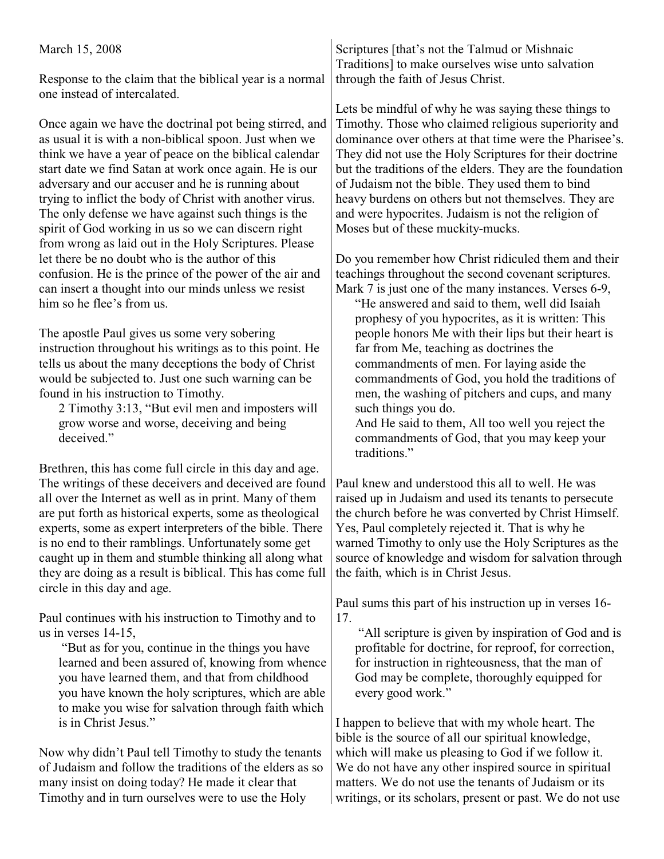## March 15, 2008

Response to the claim that the biblical year is a normal one instead of intercalated.

Once again we have the doctrinal pot being stirred, and as usual it is with a non-biblical spoon. Just when we think we have a year of peace on the biblical calendar start date we find Satan at work once again. He is our adversary and our accuser and he is running about trying to inflict the body of Christ with another virus. The only defense we have against such things is the spirit of God working in us so we can discern right from wrong as laid out in the Holy Scriptures. Please let there be no doubt who is the author of this confusion. He is the prince of the power of the air and can insert a thought into our minds unless we resist him so he flee's from us.

The apostle Paul gives us some very sobering instruction throughout his writings as to this point. He tells us about the many deceptions the body of Christ would be subjected to. Just one such warning can be found in his instruction to Timothy.

2 Timothy 3:13, "But evil men and imposters will grow worse and worse, deceiving and being deceived."

Brethren, this has come full circle in this day and age. The writings of these deceivers and deceived are found all over the Internet as well as in print. Many of them are put forth as historical experts, some as theological experts, some as expert interpreters of the bible. There is no end to their ramblings. Unfortunately some get caught up in them and stumble thinking all along what they are doing as a result is biblical. This has come full circle in this day and age.

Paul continues with his instruction to Timothy and to us in verses 14-15,

 "But as for you, continue in the things you have learned and been assured of, knowing from whence you have learned them, and that from childhood you have known the holy scriptures, which are able to make you wise for salvation through faith which is in Christ Jesus."

Now why didn't Paul tell Timothy to study the tenants of Judaism and follow the traditions of the elders as so many insist on doing today? He made it clear that Timothy and in turn ourselves were to use the Holy

Scriptures [that's not the Talmud or Mishnaic Traditions] to make ourselves wise unto salvation through the faith of Jesus Christ.

Lets be mindful of why he was saying these things to Timothy. Those who claimed religious superiority and dominance over others at that time were the Pharisee's. They did not use the Holy Scriptures for their doctrine but the traditions of the elders. They are the foundation of Judaism not the bible. They used them to bind heavy burdens on others but not themselves. They are and were hypocrites. Judaism is not the religion of Moses but of these muckity-mucks.

Do you remember how Christ ridiculed them and their teachings throughout the second covenant scriptures. Mark 7 is just one of the many instances. Verses 6-9,

"He answered and said to them, well did Isaiah prophesy of you hypocrites, as it is written: This people honors Me with their lips but their heart is far from Me, teaching as doctrines the commandments of men. For laying aside the commandments of God, you hold the traditions of men, the washing of pitchers and cups, and many such things you do.

And He said to them, All too well you reject the commandments of God, that you may keep your traditions"

Paul knew and understood this all to well. He was raised up in Judaism and used its tenants to persecute the church before he was converted by Christ Himself. Yes, Paul completely rejected it. That is why he warned Timothy to only use the Holy Scriptures as the source of knowledge and wisdom for salvation through the faith, which is in Christ Jesus.

Paul sums this part of his instruction up in verses 16- 17.

 "All scripture is given by inspiration of God and is profitable for doctrine, for reproof, for correction, for instruction in righteousness, that the man of God may be complete, thoroughly equipped for every good work."

I happen to believe that with my whole heart. The bible is the source of all our spiritual knowledge, which will make us pleasing to God if we follow it. We do not have any other inspired source in spiritual matters. We do not use the tenants of Judaism or its writings, or its scholars, present or past. We do not use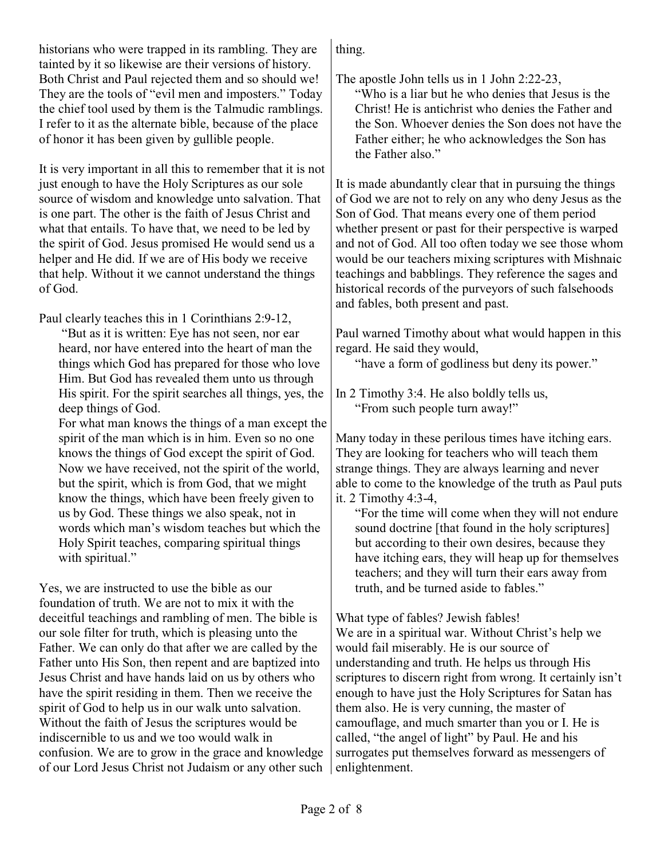historians who were trapped in its rambling. They are tainted by it so likewise are their versions of history. Both Christ and Paul rejected them and so should we! They are the tools of "evil men and imposters." Today the chief tool used by them is the Talmudic ramblings. I refer to it as the alternate bible, because of the place of honor it has been given by gullible people.

It is very important in all this to remember that it is not just enough to have the Holy Scriptures as our sole source of wisdom and knowledge unto salvation. That is one part. The other is the faith of Jesus Christ and what that entails. To have that, we need to be led by the spirit of God. Jesus promised He would send us a helper and He did. If we are of His body we receive that help. Without it we cannot understand the things of God.

Paul clearly teaches this in 1 Corinthians 2:9-12,

 "But as it is written: Eye has not seen, nor ear heard, nor have entered into the heart of man the things which God has prepared for those who love Him. But God has revealed them unto us through His spirit. For the spirit searches all things, yes, the deep things of God.

For what man knows the things of a man except the spirit of the man which is in him. Even so no one knows the things of God except the spirit of God. Now we have received, not the spirit of the world, but the spirit, which is from God, that we might know the things, which have been freely given to us by God. These things we also speak, not in words which man's wisdom teaches but which the Holy Spirit teaches, comparing spiritual things with spiritual."

Yes, we are instructed to use the bible as our foundation of truth. We are not to mix it with the deceitful teachings and rambling of men. The bible is our sole filter for truth, which is pleasing unto the Father. We can only do that after we are called by the Father unto His Son, then repent and are baptized into Jesus Christ and have hands laid on us by others who have the spirit residing in them. Then we receive the spirit of God to help us in our walk unto salvation. Without the faith of Jesus the scriptures would be indiscernible to us and we too would walk in confusion. We are to grow in the grace and knowledge of our Lord Jesus Christ not Judaism or any other such thing.

The apostle John tells us in 1 John 2:22-23,

"Who is a liar but he who denies that Jesus is the Christ! He is antichrist who denies the Father and the Son. Whoever denies the Son does not have the Father either; he who acknowledges the Son has the Father also."

It is made abundantly clear that in pursuing the things of God we are not to rely on any who deny Jesus as the Son of God. That means every one of them period whether present or past for their perspective is warped and not of God. All too often today we see those whom would be our teachers mixing scriptures with Mishnaic teachings and babblings. They reference the sages and historical records of the purveyors of such falsehoods and fables, both present and past.

Paul warned Timothy about what would happen in this regard. He said they would,

"have a form of godliness but deny its power."

In 2 Timothy 3:4. He also boldly tells us, "From such people turn away!"

Many today in these perilous times have itching ears. They are looking for teachers who will teach them strange things. They are always learning and never able to come to the knowledge of the truth as Paul puts it. 2 Timothy 4:3-4,

"For the time will come when they will not endure sound doctrine [that found in the holy scriptures] but according to their own desires, because they have itching ears, they will heap up for themselves teachers; and they will turn their ears away from truth, and be turned aside to fables."

What type of fables? Jewish fables!

We are in a spiritual war. Without Christ's help we would fail miserably. He is our source of understanding and truth. He helps us through His scriptures to discern right from wrong. It certainly isn't enough to have just the Holy Scriptures for Satan has them also. He is very cunning, the master of camouflage, and much smarter than you or I. He is called, "the angel of light" by Paul. He and his surrogates put themselves forward as messengers of enlightenment.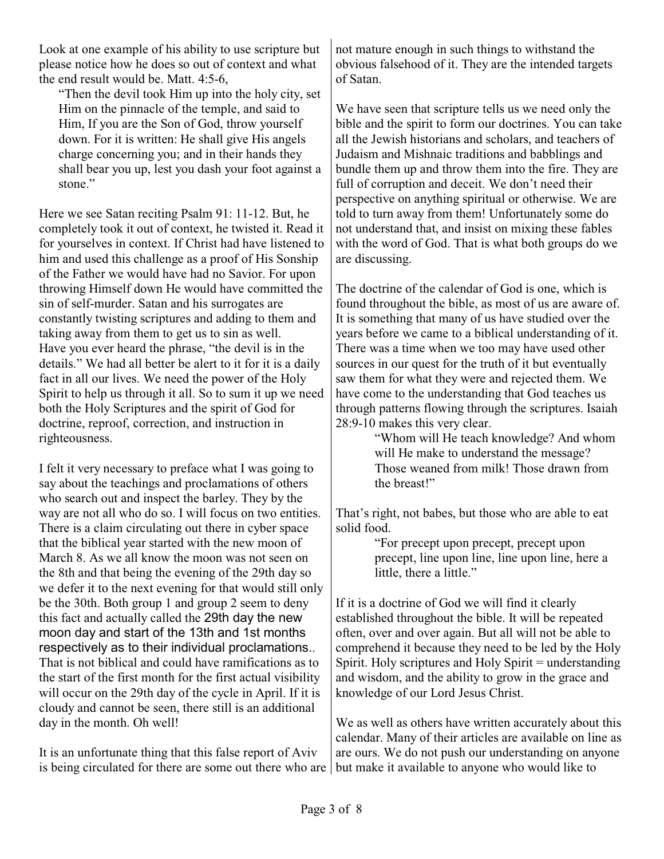Look at one example of his ability to use scripture but please notice how he does so out of context and what the end result would be. Matt. 4:5-6,

"Then the devil took Him up into the holy city, set Him on the pinnacle of the temple, and said to Him, If you are the Son of God, throw yourself down. For it is written: He shall give His angels charge concerning you; and in their hands they shall bear you up, lest you dash your foot against a stone."

Here we see Satan reciting Psalm 91: 11-12. But, he completely took it out of context, he twisted it. Read it for yourselves in context. If Christ had have listened to him and used this challenge as a proof of His Sonship of the Father we would have had no Savior. For upon throwing Himself down He would have committed the sin of self-murder. Satan and his surrogates are constantly twisting scriptures and adding to them and taking away from them to get us to sin as well. Have you ever heard the phrase, "the devil is in the details." We had all better be alert to it for it is a daily fact in all our lives. We need the power of the Holy Spirit to help us through it all. So to sum it up we need both the Holy Scriptures and the spirit of God for doctrine, reproof, correction, and instruction in righteousness.

I felt it very necessary to preface what I was going to say about the teachings and proclamations of others who search out and inspect the barley. They by the way are not all who do so. I will focus on two entities. There is a claim circulating out there in cyber space that the biblical year started with the new moon of March 8. As we all know the moon was not seen on the 8th and that being the evening of the 29th day so we defer it to the next evening for that would still only be the 30th. Both group 1 and group 2 seem to deny this fact and actually called the 29th day the new moon day and start of the 13th and 1st months respectively as to their individual proclamations.. That is not biblical and could have ramifications as to the start of the first month for the first actual visibility will occur on the 29th day of the cycle in April. If it is cloudy and cannot be seen, there still is an additional day in the month. Oh well!

It is an unfortunate thing that this false report of Aviv is being circulated for there are some out there who are not mature enough in such things to withstand the obvious falsehood of it. They are the intended targets of Satan.

We have seen that scripture tells us we need only the bible and the spirit to form our doctrines. You can take all the Jewish historians and scholars, and teachers of Judaism and Mishnaic traditions and babblings and bundle them up and throw them into the fire. They are full of corruption and deceit. We don't need their perspective on anything spiritual or otherwise. We are told to turn away from them! Unfortunately some do not understand that, and insist on mixing these fables with the word of God. That is what both groups do we are discussing.

The doctrine of the calendar of God is one, which is found throughout the bible, as most of us are aware of. It is something that many of us have studied over the years before we came to a biblical understanding of it. There was a time when we too may have used other sources in our quest for the truth of it but eventually saw them for what they were and rejected them. We have come to the understanding that God teaches us through patterns flowing through the scriptures. Isaiah 28:9-10 makes this very clear.

> "Whom will He teach knowledge? And whom will He make to understand the message? Those weaned from milk! Those drawn from the breast!"

That's right, not babes, but those who are able to eat solid food.

> "For precept upon precept, precept upon precept, line upon line, line upon line, here a little, there a little."

If it is a doctrine of God we will find it clearly established throughout the bible. It will be repeated often, over and over again. But all will not be able to comprehend it because they need to be led by the Holy Spirit. Holy scriptures and Holy Spirit = understanding and wisdom, and the ability to grow in the grace and knowledge of our Lord Jesus Christ.

We as well as others have written accurately about this calendar. Many of their articles are available on line as are ours. We do not push our understanding on anyone but make it available to anyone who would like to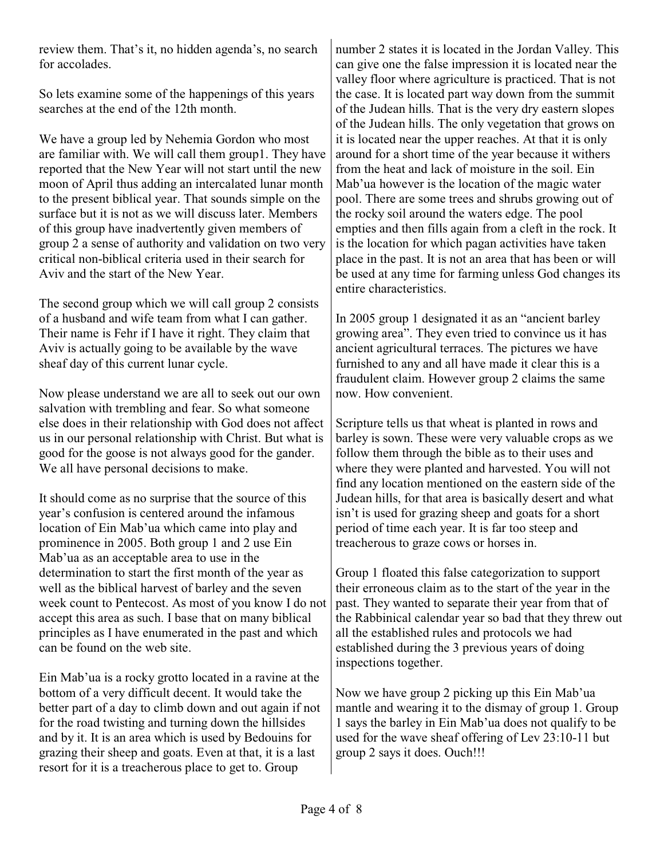review them. That's it, no hidden agenda's, no search for accolades.

So lets examine some of the happenings of this years searches at the end of the 12th month.

We have a group led by Nehemia Gordon who most are familiar with. We will call them group1. They have reported that the New Year will not start until the new moon of April thus adding an intercalated lunar month to the present biblical year. That sounds simple on the surface but it is not as we will discuss later. Members of this group have inadvertently given members of group 2 a sense of authority and validation on two very critical non-biblical criteria used in their search for Aviv and the start of the New Year.

The second group which we will call group 2 consists of a husband and wife team from what I can gather. Their name is Fehr if I have it right. They claim that Aviv is actually going to be available by the wave sheaf day of this current lunar cycle.

Now please understand we are all to seek out our own salvation with trembling and fear. So what someone else does in their relationship with God does not affect us in our personal relationship with Christ. But what is good for the goose is not always good for the gander. We all have personal decisions to make.

It should come as no surprise that the source of this year's confusion is centered around the infamous location of Ein Mab'ua which came into play and prominence in 2005. Both group 1 and 2 use Ein Mab'ua as an acceptable area to use in the determination to start the first month of the year as well as the biblical harvest of barley and the seven week count to Pentecost. As most of you know I do not accept this area as such. I base that on many biblical principles as I have enumerated in the past and which can be found on the web site.

Ein Mab'ua is a rocky grotto located in a ravine at the bottom of a very difficult decent. It would take the better part of a day to climb down and out again if not for the road twisting and turning down the hillsides and by it. It is an area which is used by Bedouins for grazing their sheep and goats. Even at that, it is a last resort for it is a treacherous place to get to. Group

number 2 states it is located in the Jordan Valley. This can give one the false impression it is located near the valley floor where agriculture is practiced. That is not the case. It is located part way down from the summit of the Judean hills. That is the very dry eastern slopes of the Judean hills. The only vegetation that grows on it is located near the upper reaches. At that it is only around for a short time of the year because it withers from the heat and lack of moisture in the soil. Ein Mab'ua however is the location of the magic water pool. There are some trees and shrubs growing out of the rocky soil around the waters edge. The pool empties and then fills again from a cleft in the rock. It is the location for which pagan activities have taken place in the past. It is not an area that has been or will be used at any time for farming unless God changes its entire characteristics.

In 2005 group 1 designated it as an "ancient barley growing area". They even tried to convince us it has ancient agricultural terraces. The pictures we have furnished to any and all have made it clear this is a fraudulent claim. However group 2 claims the same now. How convenient.

Scripture tells us that wheat is planted in rows and barley is sown. These were very valuable crops as we follow them through the bible as to their uses and where they were planted and harvested. You will not find any location mentioned on the eastern side of the Judean hills, for that area is basically desert and what isn't is used for grazing sheep and goats for a short period of time each year. It is far too steep and treacherous to graze cows or horses in.

Group 1 floated this false categorization to support their erroneous claim as to the start of the year in the past. They wanted to separate their year from that of the Rabbinical calendar year so bad that they threw out all the established rules and protocols we had established during the 3 previous years of doing inspections together.

Now we have group 2 picking up this Ein Mab'ua mantle and wearing it to the dismay of group 1. Group 1 says the barley in Ein Mab'ua does not qualify to be used for the wave sheaf offering of Lev 23:10-11 but group 2 says it does. Ouch!!!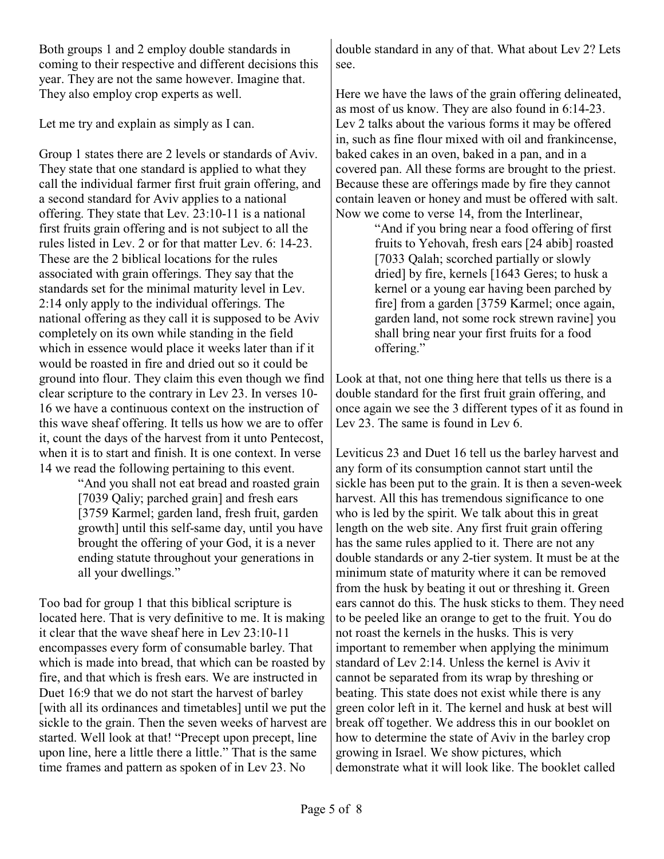Both groups 1 and 2 employ double standards in coming to their respective and different decisions this year. They are not the same however. Imagine that. They also employ crop experts as well.

Let me try and explain as simply as I can.

Group 1 states there are 2 levels or standards of Aviv. They state that one standard is applied to what they call the individual farmer first fruit grain offering, and a second standard for Aviv applies to a national offering. They state that Lev. 23:10-11 is a national first fruits grain offering and is not subject to all the rules listed in Lev. 2 or for that matter Lev. 6: 14-23. These are the 2 biblical locations for the rules associated with grain offerings. They say that the standards set for the minimal maturity level in Lev. 2:14 only apply to the individual offerings. The national offering as they call it is supposed to be Aviv completely on its own while standing in the field which in essence would place it weeks later than if it would be roasted in fire and dried out so it could be ground into flour. They claim this even though we find clear scripture to the contrary in Lev 23. In verses 10- 16 we have a continuous context on the instruction of this wave sheaf offering. It tells us how we are to offer it, count the days of the harvest from it unto Pentecost, when it is to start and finish. It is one context. In verse 14 we read the following pertaining to this event.

> "And you shall not eat bread and roasted grain [7039 Qaliy; parched grain] and fresh ears [3759 Karmel; garden land, fresh fruit, garden growth] until this self-same day, until you have brought the offering of your God, it is a never ending statute throughout your generations in all your dwellings."

Too bad for group 1 that this biblical scripture is located here. That is very definitive to me. It is making it clear that the wave sheaf here in Lev 23:10-11 encompasses every form of consumable barley. That which is made into bread, that which can be roasted by fire, and that which is fresh ears. We are instructed in Duet 16:9 that we do not start the harvest of barley [with all its ordinances and timetables] until we put the sickle to the grain. Then the seven weeks of harvest are started. Well look at that! "Precept upon precept, line upon line, here a little there a little." That is the same time frames and pattern as spoken of in Lev 23. No

double standard in any of that. What about Lev 2? Lets see.

Here we have the laws of the grain offering delineated, as most of us know. They are also found in 6:14-23. Lev 2 talks about the various forms it may be offered in, such as fine flour mixed with oil and frankincense, baked cakes in an oven, baked in a pan, and in a covered pan. All these forms are brought to the priest. Because these are offerings made by fire they cannot contain leaven or honey and must be offered with salt. Now we come to verse 14, from the Interlinear,

"And if you bring near a food offering of first fruits to Yehovah, fresh ears [24 abib] roasted [7033 Qalah; scorched partially or slowly dried] by fire, kernels [1643 Geres; to husk a kernel or a young ear having been parched by fire] from a garden [3759 Karmel; once again, garden land, not some rock strewn ravine] you shall bring near your first fruits for a food offering."

Look at that, not one thing here that tells us there is a double standard for the first fruit grain offering, and once again we see the 3 different types of it as found in Lev 23. The same is found in Lev 6.

Leviticus 23 and Duet 16 tell us the barley harvest and any form of its consumption cannot start until the sickle has been put to the grain. It is then a seven-week harvest. All this has tremendous significance to one who is led by the spirit. We talk about this in great length on the web site. Any first fruit grain offering has the same rules applied to it. There are not any double standards or any 2-tier system. It must be at the minimum state of maturity where it can be removed from the husk by beating it out or threshing it. Green ears cannot do this. The husk sticks to them. They need to be peeled like an orange to get to the fruit. You do not roast the kernels in the husks. This is very important to remember when applying the minimum standard of Lev 2:14. Unless the kernel is Aviv it cannot be separated from its wrap by threshing or beating. This state does not exist while there is any green color left in it. The kernel and husk at best will break off together. We address this in our booklet on how to determine the state of Aviv in the barley crop growing in Israel. We show pictures, which demonstrate what it will look like. The booklet called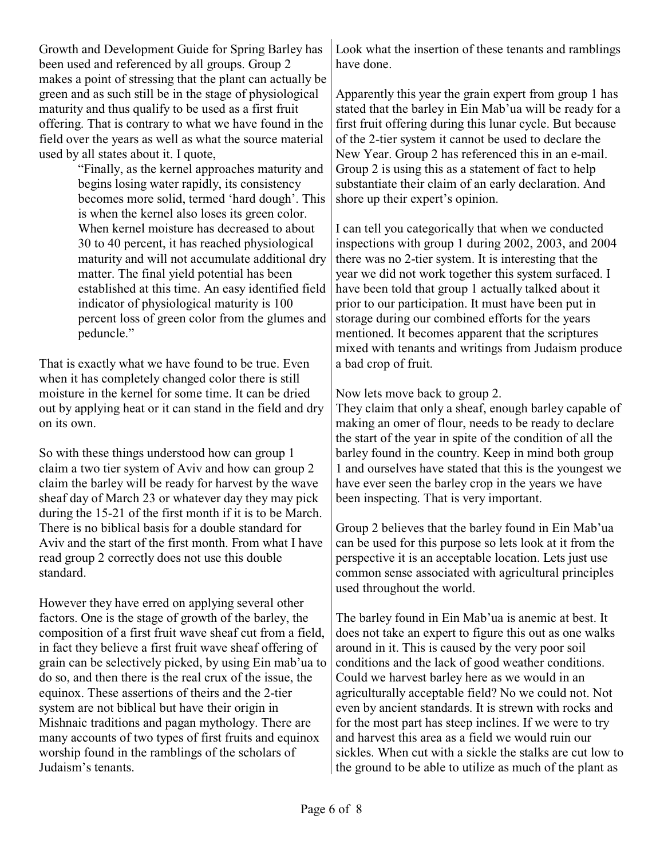Growth and Development Guide for Spring Barley has been used and referenced by all groups. Group 2 makes a point of stressing that the plant can actually be green and as such still be in the stage of physiological maturity and thus qualify to be used as a first fruit offering. That is contrary to what we have found in the field over the years as well as what the source material used by all states about it. I quote,

> "Finally, as the kernel approaches maturity and begins losing water rapidly, its consistency becomes more solid, termed 'hard dough'. This is when the kernel also loses its green color. When kernel moisture has decreased to about 30 to 40 percent, it has reached physiological maturity and will not accumulate additional dry matter. The final yield potential has been established at this time. An easy identified field indicator of physiological maturity is 100 percent loss of green color from the glumes and peduncle."

That is exactly what we have found to be true. Even when it has completely changed color there is still moisture in the kernel for some time. It can be dried out by applying heat or it can stand in the field and dry on its own.

So with these things understood how can group 1 claim a two tier system of Aviv and how can group 2 claim the barley will be ready for harvest by the wave sheaf day of March 23 or whatever day they may pick during the 15-21 of the first month if it is to be March. There is no biblical basis for a double standard for Aviv and the start of the first month. From what I have read group 2 correctly does not use this double standard.

However they have erred on applying several other factors. One is the stage of growth of the barley, the composition of a first fruit wave sheaf cut from a field, in fact they believe a first fruit wave sheaf offering of grain can be selectively picked, by using Ein mab'ua to do so, and then there is the real crux of the issue, the equinox. These assertions of theirs and the 2-tier system are not biblical but have their origin in Mishnaic traditions and pagan mythology. There are many accounts of two types of first fruits and equinox worship found in the ramblings of the scholars of Judaism's tenants.

Look what the insertion of these tenants and ramblings have done.

Apparently this year the grain expert from group 1 has stated that the barley in Ein Mab'ua will be ready for a first fruit offering during this lunar cycle. But because of the 2-tier system it cannot be used to declare the New Year. Group 2 has referenced this in an e-mail. Group 2 is using this as a statement of fact to help substantiate their claim of an early declaration. And shore up their expert's opinion.

I can tell you categorically that when we conducted inspections with group 1 during 2002, 2003, and 2004 there was no 2-tier system. It is interesting that the year we did not work together this system surfaced. I have been told that group 1 actually talked about it prior to our participation. It must have been put in storage during our combined efforts for the years mentioned. It becomes apparent that the scriptures mixed with tenants and writings from Judaism produce a bad crop of fruit.

Now lets move back to group 2.

They claim that only a sheaf, enough barley capable of making an omer of flour, needs to be ready to declare the start of the year in spite of the condition of all the barley found in the country. Keep in mind both group 1 and ourselves have stated that this is the youngest we have ever seen the barley crop in the years we have been inspecting. That is very important.

Group 2 believes that the barley found in Ein Mab'ua can be used for this purpose so lets look at it from the perspective it is an acceptable location. Lets just use common sense associated with agricultural principles used throughout the world.

The barley found in Ein Mab'ua is anemic at best. It does not take an expert to figure this out as one walks around in it. This is caused by the very poor soil conditions and the lack of good weather conditions. Could we harvest barley here as we would in an agriculturally acceptable field? No we could not. Not even by ancient standards. It is strewn with rocks and for the most part has steep inclines. If we were to try and harvest this area as a field we would ruin our sickles. When cut with a sickle the stalks are cut low to the ground to be able to utilize as much of the plant as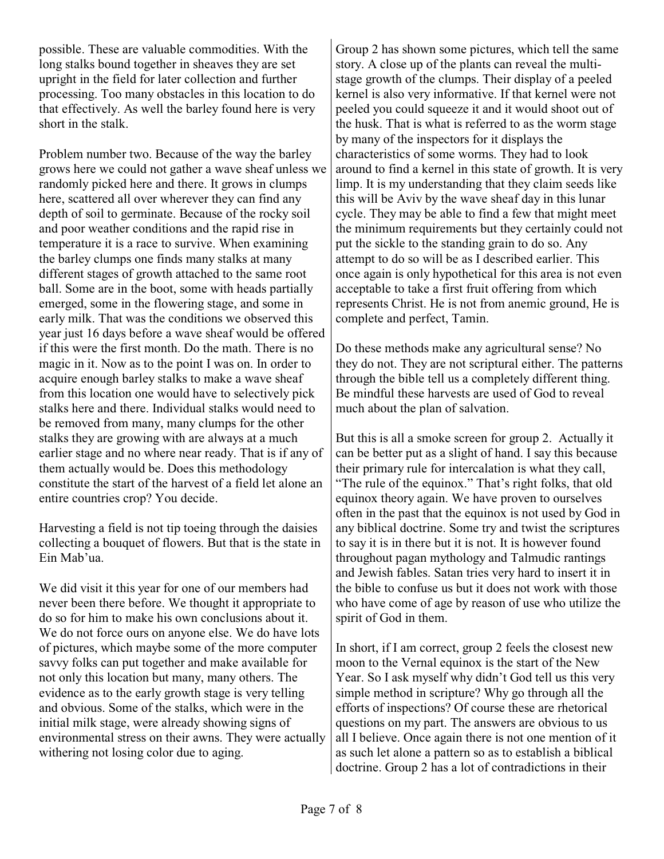possible. These are valuable commodities. With the long stalks bound together in sheaves they are set upright in the field for later collection and further processing. Too many obstacles in this location to do that effectively. As well the barley found here is very short in the stalk.

Problem number two. Because of the way the barley grows here we could not gather a wave sheaf unless we randomly picked here and there. It grows in clumps here, scattered all over wherever they can find any depth of soil to germinate. Because of the rocky soil and poor weather conditions and the rapid rise in temperature it is a race to survive. When examining the barley clumps one finds many stalks at many different stages of growth attached to the same root ball. Some are in the boot, some with heads partially emerged, some in the flowering stage, and some in early milk. That was the conditions we observed this year just 16 days before a wave sheaf would be offered if this were the first month. Do the math. There is no magic in it. Now as to the point I was on. In order to acquire enough barley stalks to make a wave sheaf from this location one would have to selectively pick stalks here and there. Individual stalks would need to be removed from many, many clumps for the other stalks they are growing with are always at a much earlier stage and no where near ready. That is if any of them actually would be. Does this methodology constitute the start of the harvest of a field let alone an entire countries crop? You decide.

Harvesting a field is not tip toeing through the daisies collecting a bouquet of flowers. But that is the state in Ein Mab'ua.

We did visit it this year for one of our members had never been there before. We thought it appropriate to do so for him to make his own conclusions about it. We do not force ours on anyone else. We do have lots of pictures, which maybe some of the more computer savvy folks can put together and make available for not only this location but many, many others. The evidence as to the early growth stage is very telling and obvious. Some of the stalks, which were in the initial milk stage, were already showing signs of environmental stress on their awns. They were actually withering not losing color due to aging.

Group 2 has shown some pictures, which tell the same story. A close up of the plants can reveal the multistage growth of the clumps. Their display of a peeled kernel is also very informative. If that kernel were not peeled you could squeeze it and it would shoot out of the husk. That is what is referred to as the worm stage by many of the inspectors for it displays the characteristics of some worms. They had to look around to find a kernel in this state of growth. It is very limp. It is my understanding that they claim seeds like this will be Aviv by the wave sheaf day in this lunar cycle. They may be able to find a few that might meet the minimum requirements but they certainly could not put the sickle to the standing grain to do so. Any attempt to do so will be as I described earlier. This once again is only hypothetical for this area is not even acceptable to take a first fruit offering from which represents Christ. He is not from anemic ground, He is complete and perfect, Tamin.

Do these methods make any agricultural sense? No they do not. They are not scriptural either. The patterns through the bible tell us a completely different thing. Be mindful these harvests are used of God to reveal much about the plan of salvation.

But this is all a smoke screen for group 2. Actually it can be better put as a slight of hand. I say this because their primary rule for intercalation is what they call, "The rule of the equinox." That's right folks, that old equinox theory again. We have proven to ourselves often in the past that the equinox is not used by God in any biblical doctrine. Some try and twist the scriptures to say it is in there but it is not. It is however found throughout pagan mythology and Talmudic rantings and Jewish fables. Satan tries very hard to insert it in the bible to confuse us but it does not work with those who have come of age by reason of use who utilize the spirit of God in them.

In short, if I am correct, group 2 feels the closest new moon to the Vernal equinox is the start of the New Year. So I ask myself why didn't God tell us this very simple method in scripture? Why go through all the efforts of inspections? Of course these are rhetorical questions on my part. The answers are obvious to us all I believe. Once again there is not one mention of it as such let alone a pattern so as to establish a biblical doctrine. Group 2 has a lot of contradictions in their